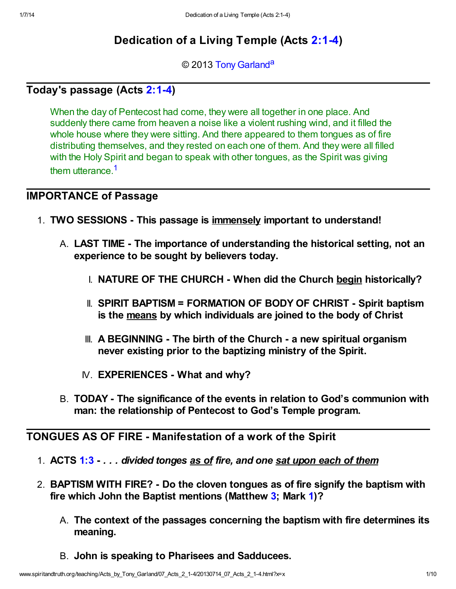# Dedication of a Living Temple (Acts [2:1-4](http://www.spiritandtruth.org/bibles/nasb/b44c002.htm#Acts_C2V1))

<span id="page-0-1"></span>© 2013 [Tony Garland](http://www.spiritandtruth.org/id/tg.htm)<sup>[a](#page-9-0)</sup>

## Today's passage (Acts [2:1-4\)](http://www.spiritandtruth.org/bibles/nasb/b44c002.htm#Acts_C2V1)

<span id="page-0-0"></span>When the day of Pentecost had come, they were all together in one place. And suddenly there came from heaven a noise like a violent rushing wind, and it filled the whole house where they were sitting. And there appeared to them tongues as of fire distributing themselves, and they rested on each one of them. And they were all filled with the Holy Spirit and began to speak with other tongues, as the Spirit was giving them utterance.<sup>[1](#page-8-0)</sup>

## IMPORTANCE of Passage

- 1. TWO SESSIONS This passage is immensely important to understand!
	- A. LAST TIME The importance of understanding the historical setting, not an experience to be sought by believers today.
		- I. NATURE OF THE CHURCH When did the Church begin historically?
		- II. SPIRIT BAPTISM = FORMATION OF BODY OF CHRIST Spirit baptism is the means by which individuals are joined to the body of Christ
		- III. A BEGINNING The birth of the Church a new spiritual organism never existing prior to the baptizing ministry of the Spirit.
		- IV. EXPERIENCES What and why?
	- B. TODAY The significance of the events in relation to God's communion with man: the relationship of Pentecost to God's Temple program.

## TONGUES AS OF FIRE - Manifestation of a work of the Spirit

- 1. ACTS [1:3](http://www.spiritandtruth.org/bibles/nasb/b44c001.htm#Acts_C1V3)  . . . divided tonges as of fire, and one sat upon each of them
- 2. BAPTISM WITH FIRE? Do the cloven tongues as of fire signify the baptism with fire which John the Baptist mentions (Matthew [3;](http://www.spiritandtruth.org/bibles/nasb/b40c003.htm#Mat._C3V1) Mark [1](http://www.spiritandtruth.org/bibles/nasb/b41c001.htm#Mark_C1V1))?
	- A. The context of the passages concerning the baptism with fire determines its meaning.
	- B. John is speaking to Pharisees and Sadducees.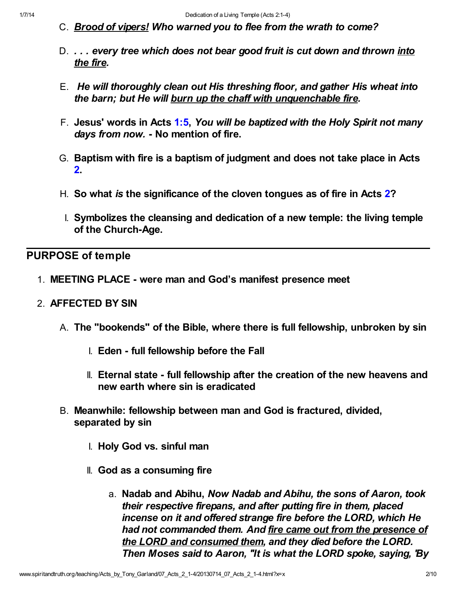- C. Brood of vipers! Who warned you to flee from the wrath to come?
- D. ... every tree which does not bear good fruit is cut down and thrown into the fire.
- E. He will thoroughly clean out His threshing floor, and gather His wheat into the barn; but He will burn up the chaff with unquenchable fire.
- F. Jesus' words in Acts [1:5](http://www.spiritandtruth.org/bibles/nasb/b44c001.htm#Acts_C1V5), You will be baptized with the Holy Spirit not many days from now. - No mention of fire.
- G. Baptism with fire is a baptism of judgment and does not take place in Acts [2.](http://www.spiritandtruth.org/bibles/nasb/b44c002.htm#Acts_C2V1)
- H. So what is the significance of the cloven tongues as of fire in Acts  $2$ ?
	- I. Symbolizes the cleansing and dedication of a new temple: the living temple of the Church-Age.

#### PURPOSE of temple

- 1. MEETING PLACE were man and God's manifest presence meet
- 2. AFFECTED BY SIN
	- A. The "bookends" of the Bible, where there is full fellowship, unbroken by sin
		- I. Eden full fellowship before the Fall
		- II. Eternal state full fellowship after the creation of the new heavens and new earth where sin is eradicated
	- B. Meanwhile: fellowship between man and God is fractured, divided, separated by sin
		- I. Holy God vs. sinful man
		- II. God as a consuming fire
			- a. Nadab and Abihu, Now Nadab and Abihu, the sons of Aaron, took their respective firepans, and after putting fire in them, placed incense on it and offered strange fire before the LORD, which He had not commanded them. And fire came out from the presence of the LORD and consumed them, and they died before the LORD. Then Moses said to Aaron, "It is what the LORD spoke, saying, 'By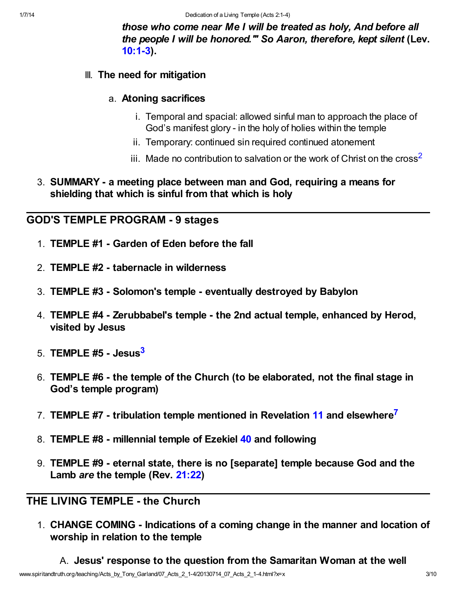those who come near Me I will be treated as holy, And before all the people I will be honored.'" So Aaron, therefore, kept silent (Lev. [10:1-3\)](http://www.spiritandtruth.org/bibles/nasb/b03c010.htm#Lev._C10V1).

#### III. The need for mitigation

#### a. Atoning sacrifices

- i. Temporal and spacial: allowed sinful man to approach the place of God's manifest glory - in the holy of holies within the temple
- <span id="page-2-0"></span>ii. Temporary: continued sin required continued atonement
- iii. Made no contribution to salvation or the work of Christ on the cross<sup>[2](#page-8-1)</sup>
- 3. SUMMARY a meeting place between man and God, requiring a means for shielding that which is sinful from that which is holy

#### GOD'S TEMPLE PROGRAM - 9 stages

- 1. TEMPLE #1 Garden of Eden before the fall
- 2. TEMPLE #2 tabernacle in wilderness
- 3. TEMPLE #3 Solomon's temple eventually destroyed by Babylon
- 4. TEMPLE #4 Zerubbabel's temple the 2nd actual temple, enhanced by Herod, visited by Jesus
- <span id="page-2-1"></span>5. TEMPLE  $#5 - J$ esus $^3$  $^3$
- 6. TEMPLE #6 the temple of the Church (to be elaborated, not the final stage in God's temple program)
- <span id="page-2-2"></span>7. TEMPLE #7 - tribulation temple mentioned in Revelation [11](http://www.spiritandtruth.org/bibles/nasb/b66c011.htm#Rev._C11V1) and elsewhere<sup>[7](#page-9-1)</sup>
- 8. TEMPLE #8 millennial temple of Ezekiel [40](http://www.spiritandtruth.org/bibles/nasb/b26c040.htm#Eze._C40V1) and following
- 9. TEMPLE #9 eternal state, there is no [separate] temple because God and the Lamb are the temple (Rev. [21:22](http://www.spiritandtruth.org/bibles/nasb/b66c021.htm#Rev._C21V22))

## THE LIVING TEMPLE - the Church

1. CHANGE COMING - Indications of a coming change in the manner and location of worship in relation to the temple

A. Jesus' response to the question from the Samaritan Woman at the well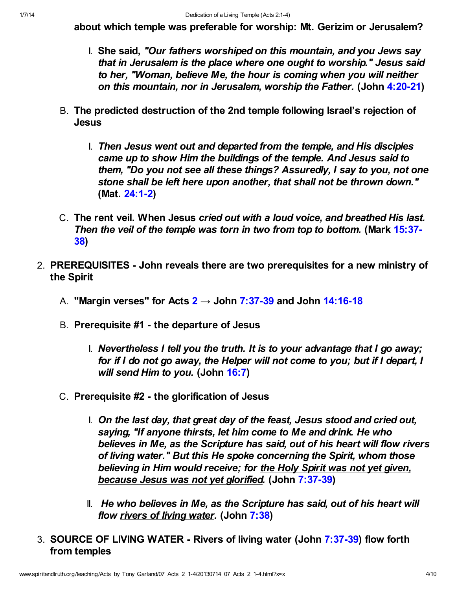about which temple was preferable for worship: Mt. Gerizim or Jerusalem?

- I. She said, "Our fathers worshiped on this mountain, and you Jews say that in Jerusalem is the place where one ought to worship." Jesus said to her, "Woman, believe Me, the hour is coming when you will neither on this mountain, nor in Jerusalem, worship the Father. (John [4:20-21\)](http://www.spiritandtruth.org/bibles/nasb/b43c004.htm#John_C4V20)
- B. The predicted destruction of the 2nd temple following Israel's rejection of Jesus
	- I. Then Jesus went out and departed from the temple, and His disciples came up to show Him the buildings of the temple. And Jesus said to them, "Do you not see all these things? Assuredly, I say to you, not one stone shall be left here upon another, that shall not be thrown down." (Mat. [24:1-2](http://www.spiritandtruth.org/bibles/nasb/b40c024.htm#Mat._C24V1))
- C. The rent veil. When Jesus cried out with a loud voice, and breathed His last. [Then the veil of the temple was torn in two from top to bottom.](http://www.spiritandtruth.org/bibles/nasb/b41c015.htm#Mark_C15V37) (Mark 15:37-38)
- 2. PREREQUISITES John reveals there are two prerequisites for a new ministry of the Spirit
	- A. "Margin verses" for Acts  $2 \rightarrow$  $2 \rightarrow$  John [7:37-39](http://www.spiritandtruth.org/bibles/nasb/b43c007.htm#John_C7V37) and John [14:16-18](http://www.spiritandtruth.org/bibles/nasb/b43c014.htm#John_C14V16)
	- B. Prerequisite #1 the departure of Jesus
		- I. Nevertheless I tell you the truth. It is to your advantage that I go away; for if I do not go away, the Helper will not come to you; but if I depart, I will send Him to you. (John [16:7\)](http://www.spiritandtruth.org/bibles/nasb/b43c016.htm#John_C16V7)
	- C. Prerequisite #2 the glorification of Jesus
		- I. On the last day, that great day of the feast, Jesus stood and cried out, saying, "If anyone thirsts, let him come to Me and drink. He who believes in Me, as the Scripture has said, out of his heart will flow rivers of living water." But this He spoke concerning the Spirit, whom those believing in Him would receive; for the Holy Spirit was not yet given, because Jesus was not yet glorified. (John [7:37-39](http://www.spiritandtruth.org/bibles/nasb/b43c007.htm#John_C7V37))
		- II. He who believes in Me, as the Scripture has said, out of his heart will flow rivers of living water. (John [7:38](http://www.spiritandtruth.org/bibles/nasb/b43c007.htm#John_C7V38))
- 3. SOURCE OF LIVING WATER Rivers of living water (John [7:37-39](http://www.spiritandtruth.org/bibles/nasb/b43c007.htm#John_C7V37)) flow forth from temples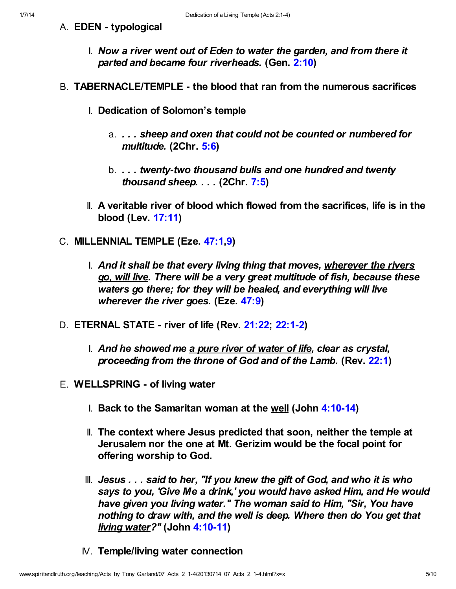- A. EDEN typological
	- I. Now a river went out of Eden to water the garden, and from there it parted and became four riverheads. (Gen. [2:10\)](http://www.spiritandtruth.org/bibles/nasb/b01c002.htm#Gen._C2V10)
- B. TABERNACLE/TEMPLE the blood that ran from the numerous sacrifices
	- I. Dedication of Solomon's temple
		- a. . . . sheep and oxen that could not be counted or numbered for multitude. (2Chr. [5:6](http://www.spiritandtruth.org/bibles/nasb/b14c005.htm#2Chr._C5V6))
		- b. . . . twenty-two thousand bulls and one hundred and twenty thousand sheep. . . . (2Chr. [7:5\)](http://www.spiritandtruth.org/bibles/nasb/b14c007.htm#2Chr._C7V5)
	- II. A veritable river of blood which flowed from the sacrifices, life is in the blood (Lev. [17:11\)](http://www.spiritandtruth.org/bibles/nasb/b03c017.htm#Lev._C17V11)
- C. MILLENNIAL TEMPLE (Eze. [47:1](http://www.spiritandtruth.org/bibles/nasb/b26c047.htm#Eze._C47V1)[,9\)](http://www.spiritandtruth.org/bibles/nasb/b26c047.htm#Eze._C47V9)
	- I. And it shall be that every living thing that moves, wherever the rivers go, will live. There will be a very great multitude of fish, because these waters go there; for they will be healed, and everything will live wherever the river goes. (Eze. [47:9](http://www.spiritandtruth.org/bibles/nasb/b26c047.htm#Eze._C47V9))
- D. ETERNAL STATE river of life (Rev. [21:22](http://www.spiritandtruth.org/bibles/nasb/b66c021.htm#Rev._C21V22); [22:1-2\)](http://www.spiritandtruth.org/bibles/nasb/b66c022.htm#Rev._C22V1)
	- I. And he showed me a pure river of water of life, clear as crystal, proceeding from the throne of God and of the Lamb. (Rev. [22:1\)](http://www.spiritandtruth.org/bibles/nasb/b66c022.htm#Rev._C22V1)
- E. WELLSPRING of living water
	- I. Back to the Samaritan woman at the well (John [4:10-14](http://www.spiritandtruth.org/bibles/nasb/b43c004.htm#John_C4V10))
	- II. The context where Jesus predicted that soon, neither the temple at Jerusalem nor the one at Mt. Gerizim would be the focal point for offering worship to God.
	- III. Jesus . . . said to her, "If you knew the gift of God, and who it is who says to you, 'Give Me a drink,' you would have asked Him, and He would have given you living water." The woman said to Him, "Sir, You have nothing to draw with, and the well is deep. Where then do You get that **living water?"** (John [4:10-11](http://www.spiritandtruth.org/bibles/nasb/b43c004.htm#John_C4V10))
	- IV. Temple/living water connection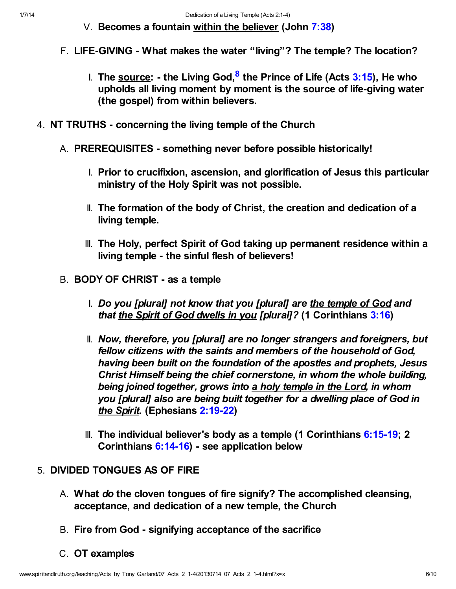- <span id="page-5-0"></span>V. Becomes a fountain within the believer (John [7:38\)](http://www.spiritandtruth.org/bibles/nasb/b43c007.htm#John_C7V38)
- F. LIFE-GIVING What makes the water "living"? The temple? The location?
	- ।. The <u>source</u>: the Living God,<sup>[8](#page-9-2)</sup> the Prince of Life (Acts <mark>3:15</mark>), He who upholds all living moment by moment is the source of life-giving water (the gospel) from within believers.
- 4. NT TRUTHS concerning the living temple of the Church
	- A. PREREQUISITES something never before possible historically!
		- I. Prior to crucifixion, ascension, and glorification of Jesus this particular ministry of the Holy Spirit was not possible.
		- II. The formation of the body of Christ, the creation and dedication of a living temple.
		- III. The Holy, perfect Spirit of God taking up permanent residence within a living temple - the sinful flesh of believers!
	- B. BODY OF CHRIST as a temple
		- I. Do you [plural] not know that you [plural] are the temple of God and that the Spirit of God dwells in you [plural]? (1 Corinthians [3:16\)](http://www.spiritandtruth.org/bibles/nasb/b46c003.htm#1Cor._C3V16)
		- II. Now, therefore, you [plural] are no longer strangers and foreigners, but fellow citizens with the saints and members of the household of God, having been built on the foundation of the apostles and prophets, Jesus Christ Himself being the chief cornerstone, in whom the whole building, being joined together, grows into a holy temple in the Lord, in whom you [plural] also are being built together for a dwelling place of God in the Spirit. (Ephesians [2:19-22](http://www.spiritandtruth.org/bibles/nasb/b49c002.htm#Eph._C2V19))
		- III. The individual believer's body as a temple (1 Corinthians [6:15-19](http://www.spiritandtruth.org/bibles/nasb/b46c006.htm#1Cor._C6V15); 2 Corinthians [6:14-16](http://www.spiritandtruth.org/bibles/nasb/b47c006.htm#2Cor._C6V14)) - see application below

## 5. DIVIDED TONGUES AS OF FIRE

- A. What do the cloven tongues of fire signify? The accomplished cleansing, acceptance, and dedication of a new temple, the Church
- B. Fire from God signifying acceptance of the sacrifice
- C. OT examples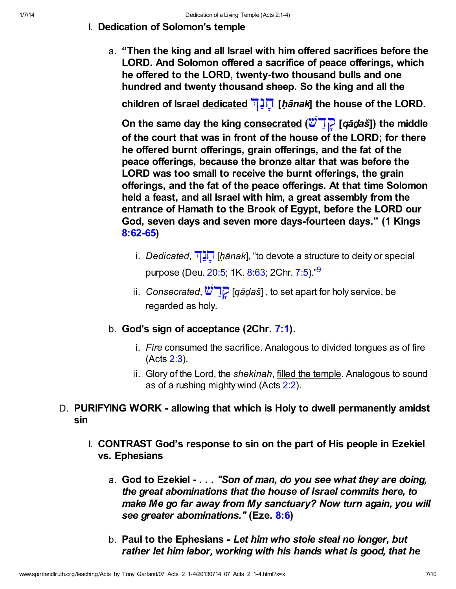- I. Dedication of Solomon's temple
	- a. "Then the king and all Israel with him offered sacrifices before the LORD. And Solomon offered a sacrifice of peace offerings, which he offered to the LORD, twenty-two thousand bulls and one hundred and twenty thousand sheep. So the king and all the

children of Israel dedicated  $\Box \Box \Box$  [hanak] the house of the LORD.

On the same day the king consecrated ( $\ddot{w}$   $\ddot{q}$  [qādaš]) the middle of the court that was in front of the house of the LORD; for there he offered burnt offerings, grain offerings, and the fat of the peace offerings, because the bronze altar that was before the LORD was too small to receive the burnt offerings, the grain offerings, and the fat of the peace offerings. At that time Solomon held a feast, and all Israel with him, a great assembly from the entrance of Hamath to the Brook of Egypt, before the LORD our God, seven days and seven more days-fourteen days." (1 Kings [8:62-65](http://www.spiritandtruth.org/bibles/nasb/b11c008.htm#1K._C8V62))

- <span id="page-6-0"></span>i. Dedicated,  $\prod_{i=1}^{n}$  [hānak], "to devote a structure to deity or special purpose (Deu. [20:5;](http://www.spiritandtruth.org/bibles/nasb/b05c020.htm#Deu._C20V5) 1K. [8:63;](http://www.spiritandtruth.org/bibles/nasb/b11c008.htm#1K._C8V63) 2Chr. [7:5](http://www.spiritandtruth.org/bibles/nasb/b14c007.htm#2Chr._C7V5))."<sup>[9](#page-9-3)</sup>
- ii. Consecrated,  $\mathbb{Z}$   $\boxed{q}$  [qādaš], to set apart for holy service, be regarded as holy.
- b. God's sign of acceptance (2Chr. [7:1\)](http://www.spiritandtruth.org/bibles/nasb/b14c007.htm#2Chr._C7V1).
	- i. Fire consumed the sacrifice. Analogous to divided tongues as of fire (Acts [2:3](http://www.spiritandtruth.org/bibles/nasb/b44c002.htm#Acts_C2V3)).
	- ii. Glory of the Lord, the shekinah, filled the temple. Analogous to sound as of a rushing mighty wind (Acts [2:2](http://www.spiritandtruth.org/bibles/nasb/b44c002.htm#Acts_C2V2)).
- D. PURIFYING WORK allowing that which is Holy to dwell permanently amidst sin
	- I. CONTRAST God's response to sin on the part of His people in Ezekiel vs. Ephesians
		- a. God to Ezekiel . . . "Son of man, do you see what they are doing, the great abominations that the house of Israel commits here, to make Me go far away from My sanctuary? Now turn again, you will see greater abominations." (Eze. [8:6](http://www.spiritandtruth.org/bibles/nasb/b26c008.htm#Eze._C8V6))
		- b. Paul to the Ephesians Let him who stole steal no longer, but rather let him labor, working with his hands what is good, that he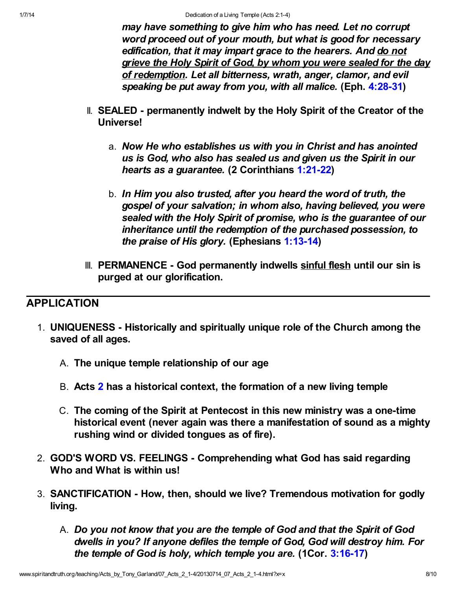may have something to give him who has need. Let no corrupt word proceed out of your mouth, but what is good for necessary edification, that it may impart grace to the hearers. And do not grieve the Holy Spirit of God, by whom you were sealed for the day of redemption. Let all bitterness, wrath, anger, clamor, and evil speaking be put away from you, with all malice. (Eph. [4:28-31\)](http://www.spiritandtruth.org/bibles/nasb/b49c004.htm#Eph._C4V28)

- II. SEALED permanently indwelt by the Holy Spirit of the Creator of the Universe!
	- a. Now He who establishes us with you in Christ and has anointed us is God, who also has sealed us and given us the Spirit in our hearts as a guarantee. (2 Corinthians [1:21-22\)](http://www.spiritandtruth.org/bibles/nasb/b47c001.htm#2Cor._C1V21)
	- b. In Him you also trusted, after you heard the word of truth, the gospel of your salvation; in whom also, having believed, you were sealed with the Holy Spirit of promise, who is the guarantee of our inheritance until the redemption of the purchased possession, to the praise of His glory. (Ephesians [1:13-14](http://www.spiritandtruth.org/bibles/nasb/b49c001.htm#Eph._C1V13))
- III. PERMANENCE God permanently indwells sinful flesh until our sin is purged at our glorification.

## APPLICATION

- 1. UNIQUENESS Historically and spiritually unique role of the Church among the saved of all ages.
	- A. The unique temple relationship of our age
	- B. Acts [2](http://www.spiritandtruth.org/bibles/nasb/b44c002.htm#Acts_C2V1) has a historical context, the formation of a new living temple
	- C. The coming of the Spirit at Pentecost in this new ministry was a one-time historical event (never again was there a manifestation of sound as a mighty rushing wind or divided tongues as of fire).
- 2. GOD'S WORD VS. FEELINGS Comprehending what God has said regarding Who and What is within us!
- 3. SANCTIFICATION How, then, should we live? Tremendous motivation for godly living.
	- A. Do you not know that you are the temple of God and that the Spirit of God dwells in you? If anyone defiles the temple of God, God will destroy him. For the temple of God is holy, which temple you are. (1Cor. [3:16-17](http://www.spiritandtruth.org/bibles/nasb/b46c003.htm#1Cor._C3V16))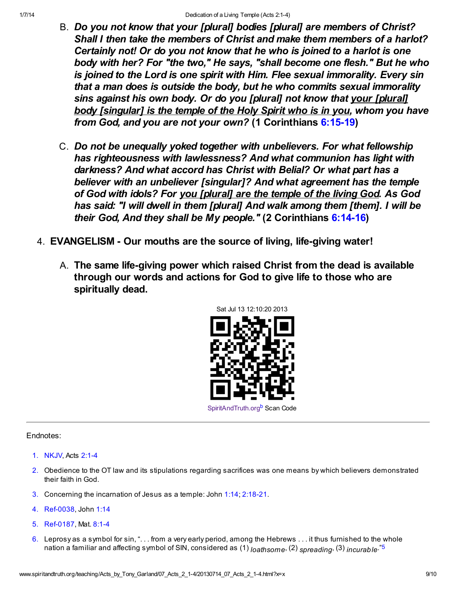- B. Do you not know that your [plural] bodies [plural] are members of Christ? Shall I then take the members of Christ and make them members of a harlot? Certainly not! Or do you not know that he who is joined to a harlot is one body with her? For "the two," He says, "shall become one flesh." But he who is joined to the Lord is one spirit with Him. Flee sexual immorality. Every sin that a man does is outside the body, but he who commits sexual immorality sins against his own body. Or do you [plural] not know that your [plural] body [singular] is the temple of the Holy Spirit who is in you, whom you have from God, and you are not your own? (1 Corinthians [6:15-19\)](http://www.spiritandtruth.org/bibles/nasb/b46c006.htm#1Cor._C6V15)
- C. Do not be unequally yoked together with unbelievers. For what fellowship has righteousness with lawlessness? And what communion has light with darkness? And what accord has Christ with Belial? Or what part has a believer with an unbeliever [singular]? And what agreement has the temple of God with idols? For you [plural] are the temple of the living God. As God has said: "I will dwell in them [plural] And walk among them [them]. I will be their God, And they shall be My people." (2 Corinthians [6:14-16](http://www.spiritandtruth.org/bibles/nasb/b47c006.htm#2Cor._C6V14))
- 4. EVANGELISM Our mouths are the source of living, life-giving water!
	- A. The same life-giving power which raised Christ from the dead is available through our words and actions for God to give life to those who are spiritually dead.

<span id="page-8-5"></span><span id="page-8-3"></span>

Endnotes:

- <span id="page-8-0"></span>[1.](#page-0-0) NKJV, Acts [2:1-4](http://www.spiritandtruth.org/bibles/nasb/b44c002.htm#Acts_C2V1)
- <span id="page-8-1"></span>[2.](#page-2-0) Obedience to the OT law and its stipulations regarding sacrifices was one means by which believers demonstrated their faith in God.
- <span id="page-8-2"></span>[3.](#page-2-1) Concerning the incarnation of Jesus as a temple: John [1:14;](http://www.spiritandtruth.org/bibles/nasb/b43c001.htm#John_C1V14) [2:18-21.](http://www.spiritandtruth.org/bibles/nasb/b43c002.htm#John_C2V18)
- 4. Ref-0038, John [1:14](http://www.spiritandtruth.org/bibles/nasb/b43c001.htm#John_C1V14)
- <span id="page-8-4"></span>[5.](#page-8-3) Ref-0187, Mat. [8:1-4](http://www.spiritandtruth.org/bibles/nasb/b40c008.htm#Mat._C8V1)
- 6. Leprosy as a symbol for sin, ". . . from a very early period, among the Hebrews . . . it thus furnished to the whole nation a familiar and affecting symbol of SIN, considered as (1) loathsome, (2) spreading, (3) incurable."<sup>[5](#page-8-4)</sup>